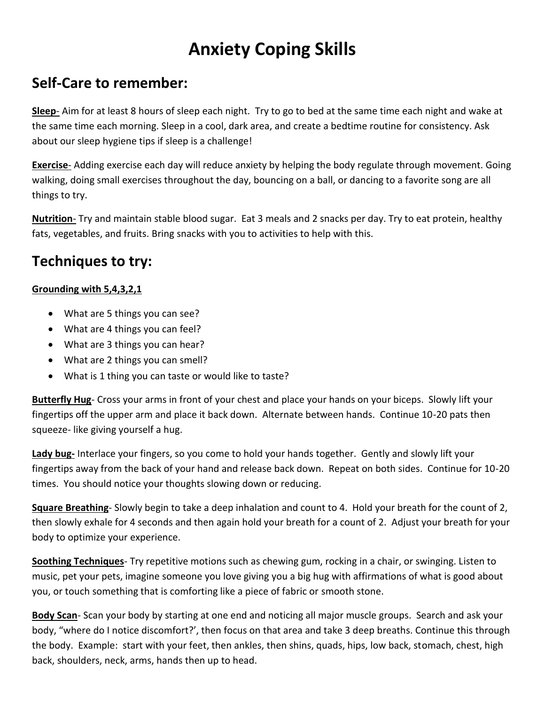# **Anxiety Coping Skills**

### **Self-Care to remember:**

**Sleep**- Aim for at least 8 hours of sleep each night. Try to go to bed at the same time each night and wake at the same time each morning. Sleep in a cool, dark area, and create a bedtime routine for consistency. Ask about our sleep hygiene tips if sleep is a challenge!

**Exercise**- Adding exercise each day will reduce anxiety by helping the body regulate through movement. Going walking, doing small exercises throughout the day, bouncing on a ball, or dancing to a favorite song are all things to try.

**Nutrition**- Try and maintain stable blood sugar. Eat 3 meals and 2 snacks per day. Try to eat protein, healthy fats, vegetables, and fruits. Bring snacks with you to activities to help with this.

## **Techniques to try:**

#### **Grounding with 5,4,3,2,1**

- What are 5 things you can see?
- What are 4 things you can feel?
- What are 3 things you can hear?
- What are 2 things you can smell?
- What is 1 thing you can taste or would like to taste?

**Butterfly Hug**- Cross your arms in front of your chest and place your hands on your biceps. Slowly lift your fingertips off the upper arm and place it back down. Alternate between hands. Continue 10-20 pats then squeeze- like giving yourself a hug.

**Lady bug-** Interlace your fingers, so you come to hold your hands together. Gently and slowly lift your fingertips away from the back of your hand and release back down. Repeat on both sides. Continue for 10-20 times. You should notice your thoughts slowing down or reducing.

**Square Breathing**- Slowly begin to take a deep inhalation and count to 4. Hold your breath for the count of 2, then slowly exhale for 4 seconds and then again hold your breath for a count of 2. Adjust your breath for your body to optimize your experience.

**Soothing Techniques**- Try repetitive motions such as chewing gum, rocking in a chair, or swinging. Listen to music, pet your pets, imagine someone you love giving you a big hug with affirmations of what is good about you, or touch something that is comforting like a piece of fabric or smooth stone.

**Body Scan**- Scan your body by starting at one end and noticing all major muscle groups. Search and ask your body, "where do I notice discomfort?', then focus on that area and take 3 deep breaths. Continue this through the body. Example: start with your feet, then ankles, then shins, quads, hips, low back, stomach, chest, high back, shoulders, neck, arms, hands then up to head.